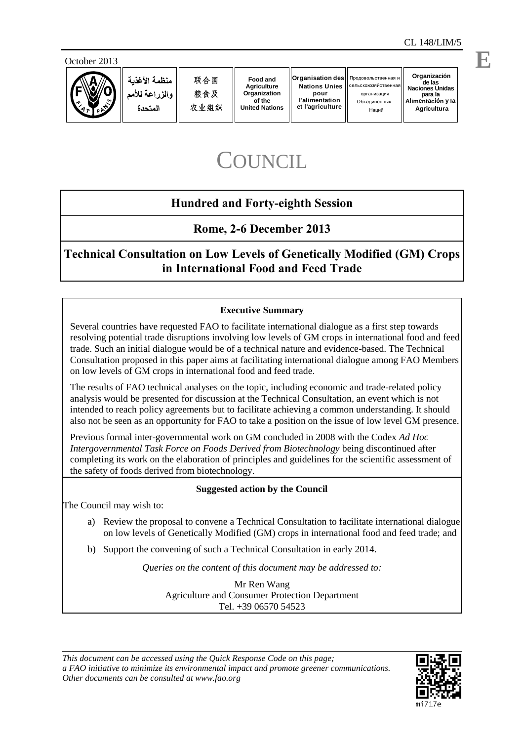



منظمة الأغذبة والذراعة للأمم المتحدة

Наций

# **COUNCIL**

# **Hundred and Forty-eighth Session**

**Rome, 2-6 December 2013**

**Technical Consultation on Low Levels of Genetically Modified (GM) Crops in International Food and Feed Trade**

# **Executive Summary**

Several countries have requested FAO to facilitate international dialogue as a first step towards resolving potential trade disruptions involving low levels of GM crops in international food and feed trade. Such an initial dialogue would be of a technical nature and evidence-based. The Technical Consultation proposed in this paper aims at facilitating international dialogue among FAO Members on low levels of GM crops in international food and feed trade.

The results of FAO technical analyses on the topic, including economic and trade-related policy analysis would be presented for discussion at the Technical Consultation, an event which is not intended to reach policy agreements but to facilitate achieving a common understanding. It should also not be seen as an opportunity for FAO to take a position on the issue of low level GM presence.

Previous formal inter-governmental work on GM concluded in 2008 with the Codex *Ad Hoc Intergovernmental Task Force on Foods Derived from Biotechnology* being discontinued after completing its work on the elaboration of principles and guidelines for the scientific assessment of the safety of foods derived from biotechnology.

#### **Suggested action by the Council**

The Council may wish to:

- a) Review the proposal to convene a Technical Consultation to facilitate international dialogue on low levels of Genetically Modified (GM) crops in international food and feed trade; and
- b) Support the convening of such a Technical Consultation in early 2014.

*Queries on the content of this document may be addressed to:*

Mr Ren Wang Agriculture and Consumer Protection Department Tel. +39 06570 54523



**E**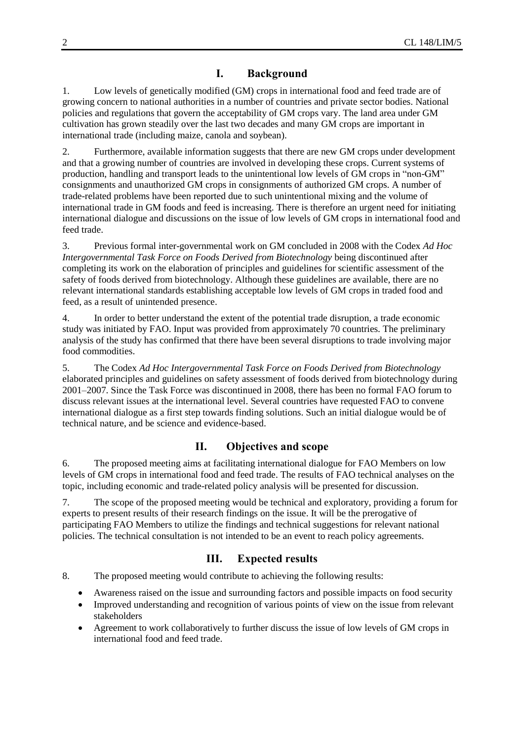# **I. Background**

1. Low levels of genetically modified (GM) crops in international food and feed trade are of growing concern to national authorities in a number of countries and private sector bodies. National policies and regulations that govern the acceptability of GM crops vary. The land area under GM cultivation has grown steadily over the last two decades and many GM crops are important in international trade (including maize, canola and soybean).

2. Furthermore, available information suggests that there are new GM crops under development and that a growing number of countries are involved in developing these crops. Current systems of production, handling and transport leads to the unintentional low levels of GM crops in "non-GM" consignments and unauthorized GM crops in consignments of authorized GM crops. A number of trade-related problems have been reported due to such unintentional mixing and the volume of international trade in GM foods and feed is increasing. There is therefore an urgent need for initiating international dialogue and discussions on the issue of low levels of GM crops in international food and feed trade.

3. Previous formal inter-governmental work on GM concluded in 2008 with the Codex *Ad Hoc Intergovernmental Task Force on Foods Derived from Biotechnology* being discontinued after completing its work on the elaboration of principles and guidelines for scientific assessment of the safety of foods derived from biotechnology. Although these guidelines are available, there are no relevant international standards establishing acceptable low levels of GM crops in traded food and feed, as a result of unintended presence.

4. In order to better understand the extent of the potential trade disruption, a trade economic study was initiated by FAO. Input was provided from approximately 70 countries. The preliminary analysis of the study has confirmed that there have been several disruptions to trade involving major food commodities.

5. The Codex *Ad Hoc Intergovernmental Task Force on Foods Derived from Biotechnology* elaborated principles and guidelines on safety assessment of foods derived from biotechnology during 2001–2007. Since the Task Force was discontinued in 2008, there has been no formal FAO forum to discuss relevant issues at the international level. Several countries have requested FAO to convene international dialogue as a first step towards finding solutions. Such an initial dialogue would be of technical nature, and be science and evidence-based.

#### **II. Objectives and scope**

6. The proposed meeting aims at facilitating international dialogue for FAO Members on low levels of GM crops in international food and feed trade. The results of FAO technical analyses on the topic, including economic and trade-related policy analysis will be presented for discussion.

7. The scope of the proposed meeting would be technical and exploratory, providing a forum for experts to present results of their research findings on the issue. It will be the prerogative of participating FAO Members to utilize the findings and technical suggestions for relevant national policies. The technical consultation is not intended to be an event to reach policy agreements.

# **III. Expected results**

8. The proposed meeting would contribute to achieving the following results:

- Awareness raised on the issue and surrounding factors and possible impacts on food security
- Improved understanding and recognition of various points of view on the issue from relevant stakeholders
- Agreement to work collaboratively to further discuss the issue of low levels of GM crops in international food and feed trade.